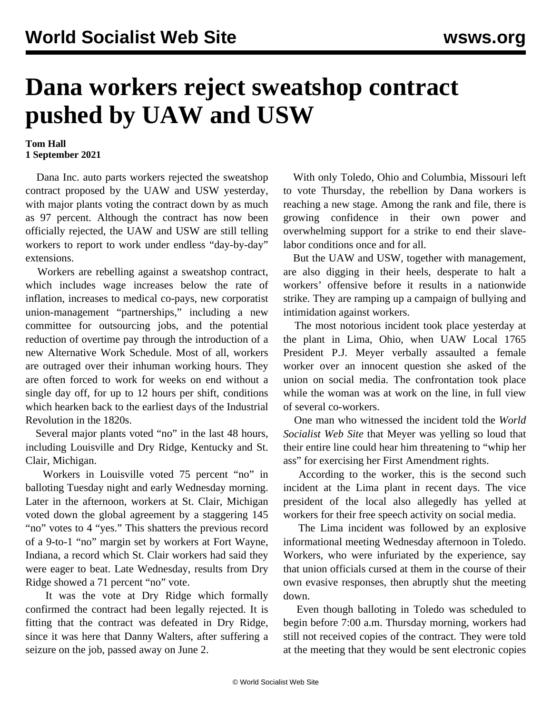## **Dana workers reject sweatshop contract pushed by UAW and USW**

## **Tom Hall 1 September 2021**

 Dana Inc. auto parts workers rejected the sweatshop contract proposed by the UAW and USW yesterday, with major plants voting the contract down by as much as 97 percent. Although the contract has now been officially rejected, the UAW and USW are still telling workers to report to work under endless "day-by-day" extensions.

 Workers are rebelling against a sweatshop contract, which includes wage increases below the rate of inflation, increases to medical co-pays, new corporatist union-management "partnerships," including a new committee for outsourcing jobs, and the potential reduction of overtime pay through the introduction of a new Alternative Work Schedule. Most of all, workers are outraged over their inhuman working hours. They are often forced to work for weeks on end without a single day off, for up to 12 hours per shift, conditions which hearken back to the earliest days of the Industrial Revolution in the 1820s.

 Several major plants voted "no" in the last 48 hours, including Louisville and Dry Ridge, Kentucky and St. Clair, Michigan.

 Workers in Louisville voted 75 percent "no" in balloting Tuesday night and early Wednesday morning. Later in the afternoon, workers at St. Clair, Michigan voted down the global agreement by a staggering 145 "no" votes to 4 "yes." This shatters the previous record of a 9-to-1 "no" margin set by workers at Fort Wayne, Indiana, a record which St. Clair workers had said they were eager to beat. Late Wednesday, results from Dry Ridge showed a 71 percent "no" vote.

 It was the vote at Dry Ridge which formally confirmed the contract had been legally rejected. It is fitting that the contract was defeated in Dry Ridge, since it was here that [Danny Walters](/en/articles/2021/08/27/dann-a27.html), after suffering a seizure on the job, passed away on June 2.

 With only Toledo, Ohio and Columbia, Missouri left to vote Thursday, the rebellion by Dana workers is reaching a new stage. Among the rank and file, there is growing confidence in their own power and overwhelming support for a strike to end their slavelabor conditions once and for all.

 But the UAW and USW, together with management, are also digging in their heels, desperate to halt a workers' offensive before it results in a nationwide strike. They are ramping up a campaign of bullying and intimidation against workers.

 The most notorious incident took place yesterday at the plant in Lima, Ohio, when UAW Local 1765 President P.J. Meyer verbally assaulted a female worker over an innocent question she asked of the union on social media. The confrontation took place while the woman was at work on the line, in full view of several co-workers.

 One man who witnessed the incident told the *World Socialist Web Site* that Meyer was yelling so loud that their entire line could hear him threatening to "whip her ass" for exercising her First Amendment rights.

 According to the worker, this is the second such incident at the Lima plant in recent days. The vice president of the local also allegedly has yelled at workers for their free speech activity on social media.

 The Lima incident was followed by an explosive informational meeting Wednesday afternoon in Toledo. Workers, who were infuriated by the experience, say that union officials cursed at them in the course of their own evasive responses, then abruptly shut the meeting down.

 Even though balloting in Toledo was scheduled to begin before 7:00 a.m. Thursday morning, workers had still not received copies of the contract. They were told at the meeting that they would be sent electronic copies